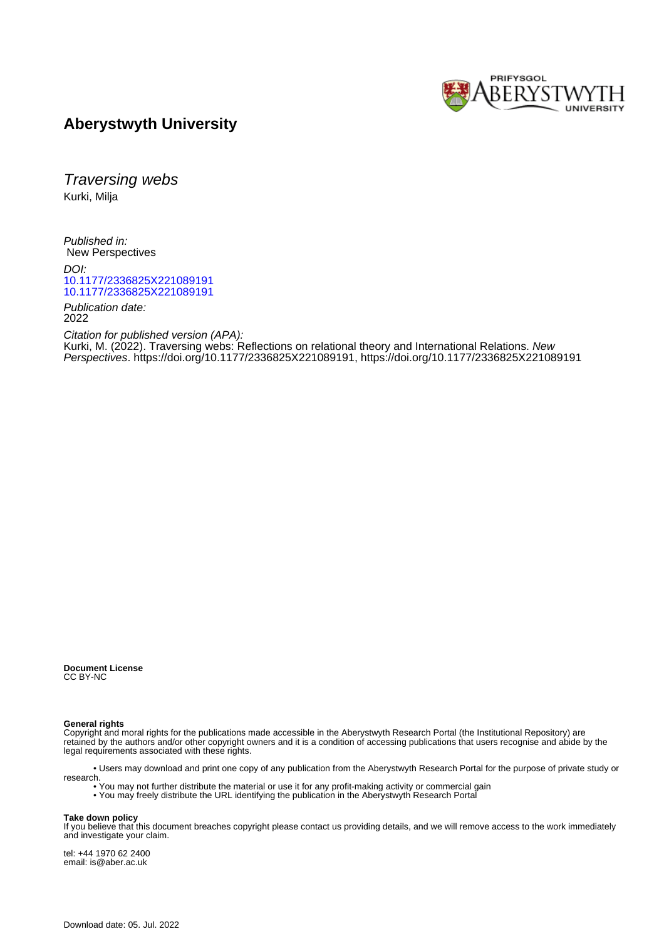

### **Aberystwyth University**

Traversing webs Kurki, Milja

Published in: New Perspectives

DOI: [10.1177/2336825X221089191](https://doi.org/10.1177/2336825X221089191) [10.1177/2336825X221089191](https://doi.org/10.1177/2336825X221089191)

Publication date: 2022

Citation for published version (APA):

[Kurki, M.](https://pure.aber.ac.uk/portal/en/persons/milja-kurki(28428034-4568-44f6-97e8-c02cddbfae76).html) (2022). [Traversing webs: Reflections on relational theory and International Relations.](https://pure.aber.ac.uk/portal/en/publications/traversing-webs(4f26e29f-dbab-4b8f-b775-c3a818d5f080).html) New Perspectives. [https://doi.org/10.1177/2336825X221089191, https://doi.org/10.1177/2336825X221089191](https://doi.org/10.1177/2336825X221089191)

**Document License** CC BY-NC

**General rights**

Copyright and moral rights for the publications made accessible in the Aberystwyth Research Portal (the Institutional Repository) are retained by the authors and/or other copyright owners and it is a condition of accessing publications that users recognise and abide by the legal requirements associated with these rights.

 • Users may download and print one copy of any publication from the Aberystwyth Research Portal for the purpose of private study or research.

- You may not further distribute the material or use it for any profit-making activity or commercial gain
- You may freely distribute the URL identifying the publication in the Aberystwyth Research Portal

#### **Take down policy**

If you believe that this document breaches copyright please contact us providing details, and we will remove access to the work immediately and investigate your claim.

tel: +44 1970 62 2400 email: is@aber.ac.uk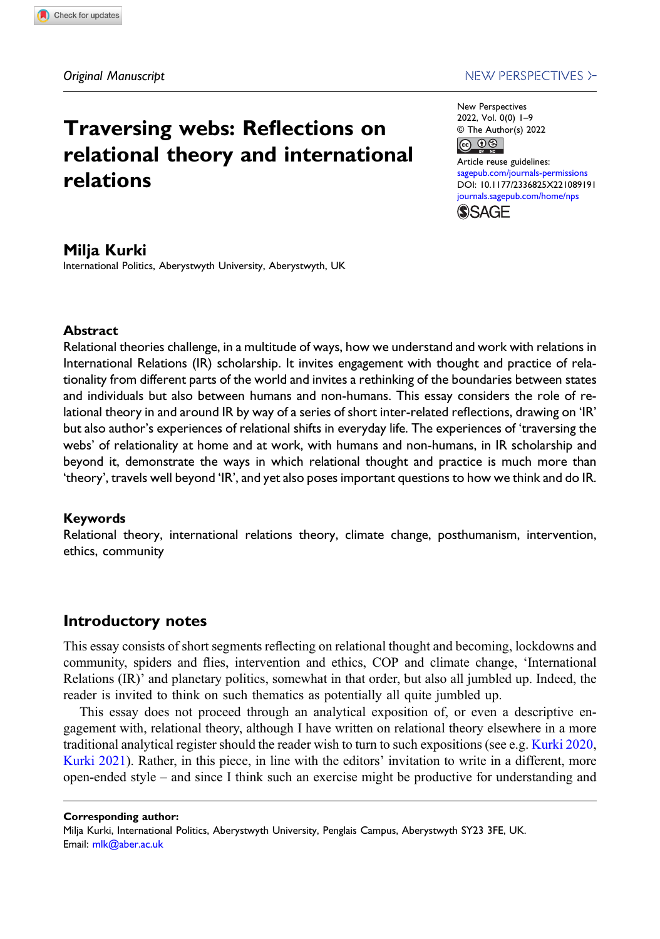## Traversing webs: Reflections on relational theory and international relations

### NEW PERSPECTIVES >-

New Perspectives 2022, Vol. 0(0) 1–9 © The Author(s) 2022  $\circledcirc$ 

Article reuse guidelines: [sagepub.com/journals-permissions](https://uk.sagepub.com/en-gb/journals-permissions) DOI: [10.1177/2336825X221089191](https://doi.org/10.1177/2336825X221089191) [journals.sagepub.com/home/nps](https://journals.sagepub.com/home/nps)



### Milja Kurki

International Politics, Aberystwyth University, Aberystwyth, UK

### **Abstract**

Relational theories challenge, in a multitude of ways, how we understand and work with relations in International Relations (IR) scholarship. It invites engagement with thought and practice of relationality from different parts of the world and invites a rethinking of the boundaries between states and individuals but also between humans and non-humans. This essay considers the role of relational theory in and around IR by way of a series of short inter-related reflections, drawing on 'IR' but also author's experiences of relational shifts in everyday life. The experiences of 'traversing the webs' of relationality at home and at work, with humans and non-humans, in IR scholarship and beyond it, demonstrate the ways in which relational thought and practice is much more than 'theory', travels well beyond 'IR', and yet also poses important questions to how we think and do IR.

### Keywords

Relational theory, international relations theory, climate change, posthumanism, intervention, ethics, community

### Introductory notes

This essay consists of short segments reflecting on relational thought and becoming, lockdowns and community, spiders and flies, intervention and ethics, COP and climate change, 'International Relations (IR)' and planetary politics, somewhat in that order, but also all jumbled up. Indeed, the reader is invited to think on such thematics as potentially all quite jumbled up.

This essay does not proceed through an analytical exposition of, or even a descriptive engagement with, relational theory, although I have written on relational theory elsewhere in a more traditional analytical register should the reader wish to turn to such expositions (see e.g. [Kurki 2020](#page-8-0), [Kurki 2021](#page-9-0)). Rather, in this piece, in line with the editors' invitation to write in a different, more open-ended style – and since I think such an exercise might be productive for understanding and

Corresponding author:

Milja Kurki, International Politics, Aberystwyth University, Penglais Campus, Aberystwyth SY23 3FE, UK. Email: [mlk@aber.ac.uk](mailto:mlk@aber.ac.uk)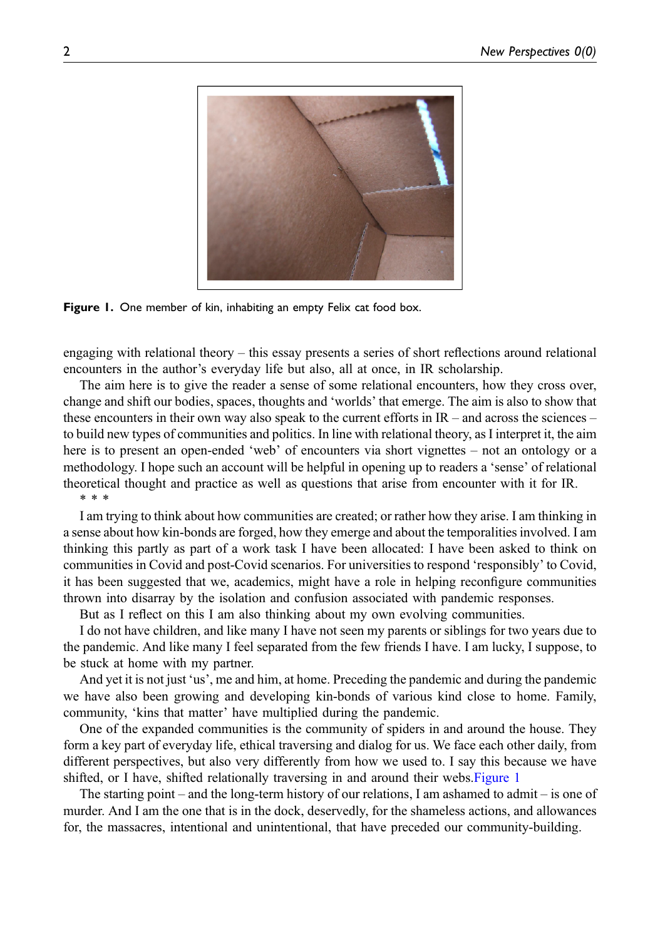

Figure 1. One member of kin, inhabiting an empty Felix cat food box.

<span id="page-2-0"></span>engaging with relational theory – this essay presents a series of short reflections around relational encounters in the author's everyday life but also, all at once, in IR scholarship.

The aim here is to give the reader a sense of some relational encounters, how they cross over, change and shift our bodies, spaces, thoughts and 'worlds' that emerge. The aim is also to show that these encounters in their own way also speak to the current efforts in  $IR -$  and across the sciences – to build new types of communities and politics. In line with relational theory, as I interpret it, the aim here is to present an open-ended 'web' of encounters via short vignettes – not an ontology or a methodology. I hope such an account will be helpful in opening up to readers a 'sense' of relational theoretical thought and practice as well as questions that arise from encounter with it for IR. \*\*\*

I am trying to think about how communities are created; or rather how they arise. I am thinking in a sense about how kin-bonds are forged, how they emerge and about the temporalities involved. I am thinking this partly as part of a work task I have been allocated: I have been asked to think on communities in Covid and post-Covid scenarios. For universities to respond 'responsibly' to Covid, it has been suggested that we, academics, might have a role in helping reconfigure communities thrown into disarray by the isolation and confusion associated with pandemic responses.

But as I reflect on this I am also thinking about my own evolving communities.

I do not have children, and like many I have not seen my parents or siblings for two years due to the pandemic. And like many I feel separated from the few friends I have. I am lucky, I suppose, to be stuck at home with my partner.

And yet it is not just 'us', me and him, at home. Preceding the pandemic and during the pandemic we have also been growing and developing kin-bonds of various kind close to home. Family, community, 'kins that matter' have multiplied during the pandemic.

One of the expanded communities is the community of spiders in and around the house. They form a key part of everyday life, ethical traversing and dialog for us. We face each other daily, from different perspectives, but also very differently from how we used to. I say this because we have shifted, or I have, shifted relationally traversing in and around their webs[.Figure 1](#page-2-0)

The starting point – and the long-term history of our relations, I am ashamed to admit – is one of murder. And I am the one that is in the dock, deservedly, for the shameless actions, and allowances for, the massacres, intentional and unintentional, that have preceded our community-building.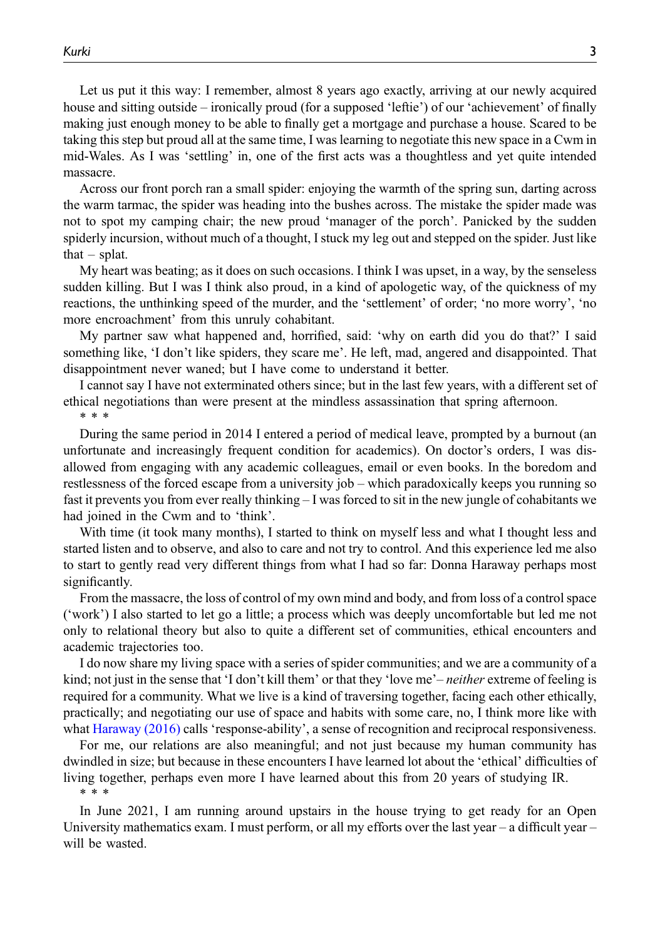Let us put it this way: I remember, almost 8 years ago exactly, arriving at our newly acquired house and sitting outside – ironically proud (for a supposed 'leftie') of our 'achievement' of finally making just enough money to be able to finally get a mortgage and purchase a house. Scared to be taking this step but proud all at the same time, I was learning to negotiate this new space in a Cwm in mid-Wales. As I was 'settling' in, one of the first acts was a thoughtless and yet quite intended massacre.

Across our front porch ran a small spider: enjoying the warmth of the spring sun, darting across the warm tarmac, the spider was heading into the bushes across. The mistake the spider made was not to spot my camping chair; the new proud 'manager of the porch'. Panicked by the sudden spiderly incursion, without much of a thought, I stuck my leg out and stepped on the spider. Just like that  $-$  splat.

My heart was beating; as it does on such occasions. I think I was upset, in a way, by the senseless sudden killing. But I was I think also proud, in a kind of apologetic way, of the quickness of my reactions, the unthinking speed of the murder, and the 'settlement' of order; 'no more worry', 'no more encroachment' from this unruly cohabitant.

My partner saw what happened and, horrified, said: 'why on earth did you do that?' I said something like, 'I don't like spiders, they scare me'. He left, mad, angered and disappointed. That disappointment never waned; but I have come to understand it better.

I cannot say I have not exterminated others since; but in the last few years, with a different set of ethical negotiations than were present at the mindless assassination that spring afternoon.

\*\*\*

During the same period in 2014 I entered a period of medical leave, prompted by a burnout (an unfortunate and increasingly frequent condition for academics). On doctor's orders, I was disallowed from engaging with any academic colleagues, email or even books. In the boredom and restlessness of the forced escape from a university job – which paradoxically keeps you running so fast it prevents you from ever really thinking – I was forced to sit in the new jungle of cohabitants we had joined in the Cwm and to 'think'.

With time (it took many months), I started to think on myself less and what I thought less and started listen and to observe, and also to care and not try to control. And this experience led me also to start to gently read very different things from what I had so far: Donna Haraway perhaps most significantly.

From the massacre, the loss of control of my own mind and body, and from loss of a control space ('work') I also started to let go a little; a process which was deeply uncomfortable but led me not only to relational theory but also to quite a different set of communities, ethical encounters and academic trajectories too.

I do now share my living space with a series of spider communities; and we are a community of a kind; not just in the sense that 'I don't kill them' or that they 'love me'– *neither* extreme of feeling is required for a community. What we live is a kind of traversing together, facing each other ethically, practically; and negotiating our use of space and habits with some care, no, I think more like with what [Haraway \(2016\)](#page-8-1) calls 'response-ability', a sense of recognition and reciprocal responsiveness.

For me, our relations are also meaningful; and not just because my human community has dwindled in size; but because in these encounters I have learned lot about the 'ethical' difficulties of living together, perhaps even more I have learned about this from 20 years of studying IR. \*\*\*

In June 2021, I am running around upstairs in the house trying to get ready for an Open University mathematics exam. I must perform, or all my efforts over the last year – a difficult year – will be wasted.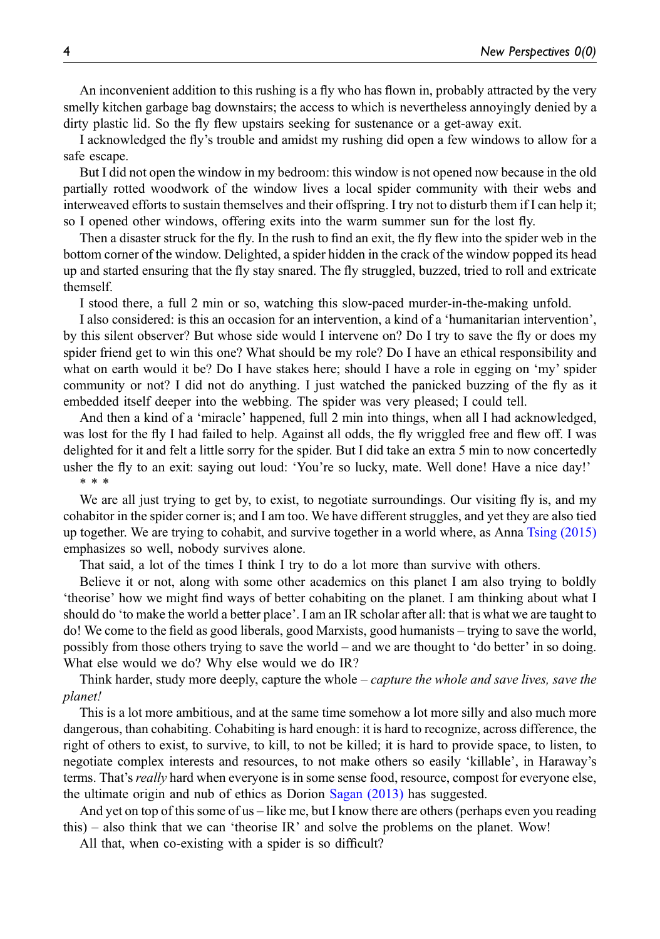An inconvenient addition to this rushing is a fly who has flown in, probably attracted by the very smelly kitchen garbage bag downstairs; the access to which is nevertheless annoyingly denied by a dirty plastic lid. So the fly flew upstairs seeking for sustenance or a get-away exit.

I acknowledged the fly's trouble and amidst my rushing did open a few windows to allow for a safe escape.

But I did not open the window in my bedroom: this window is not opened now because in the old partially rotted woodwork of the window lives a local spider community with their webs and interweaved efforts to sustain themselves and their offspring. I try not to disturb them if I can help it; so I opened other windows, offering exits into the warm summer sun for the lost fly.

Then a disaster struck for the fly. In the rush to find an exit, the fly flew into the spider web in the bottom corner of the window. Delighted, a spider hidden in the crack of the window popped its head up and started ensuring that the fly stay snared. The fly struggled, buzzed, tried to roll and extricate themself.

I stood there, a full 2 min or so, watching this slow-paced murder-in-the-making unfold.

I also considered: is this an occasion for an intervention, a kind of a 'humanitarian intervention', by this silent observer? But whose side would I intervene on? Do I try to save the fly or does my spider friend get to win this one? What should be my role? Do I have an ethical responsibility and what on earth would it be? Do I have stakes here; should I have a role in egging on 'my' spider community or not? I did not do anything. I just watched the panicked buzzing of the fly as it embedded itself deeper into the webbing. The spider was very pleased; I could tell.

And then a kind of a 'miracle' happened, full 2 min into things, when all I had acknowledged, was lost for the fly I had failed to help. Against all odds, the fly wriggled free and flew off. I was delighted for it and felt a little sorry for the spider. But I did take an extra 5 min to now concertedly usher the fly to an exit: saying out loud: 'You're so lucky, mate. Well done! Have a nice day!' \*\*\*

We are all just trying to get by, to exist, to negotiate surroundings. Our visiting fly is, and my cohabitor in the spider corner is; and I am too. We have different struggles, and yet they are also tied up together. We are trying to cohabit, and survive together in a world where, as Anna [Tsing \(2015\)](#page-9-1) emphasizes so well, nobody survives alone.

That said, a lot of the times I think I try to do a lot more than survive with others.

Believe it or not, along with some other academics on this planet I am also trying to boldly 'theorise' how we might find ways of better cohabiting on the planet. I am thinking about what I should do 'to make the world a better place'. I am an IR scholar after all: that is what we are taught to do! We come to the field as good liberals, good Marxists, good humanists – trying to save the world, possibly from those others trying to save the world – and we are thought to 'do better' in so doing. What else would we do? Why else would we do IR?

Think harder, study more deeply, capture the whole – *capture the whole and save lives, save the* planet!

This is a lot more ambitious, and at the same time somehow a lot more silly and also much more dangerous, than cohabiting. Cohabiting is hard enough: it is hard to recognize, across difference, the right of others to exist, to survive, to kill, to not be killed; it is hard to provide space, to listen, to negotiate complex interests and resources, to not make others so easily 'killable', in Haraway's terms. That's *really* hard when everyone is in some sense food, resource, compost for everyone else, the ultimate origin and nub of ethics as Dorion [Sagan \(2013\)](#page-9-2) has suggested.

And yet on top of this some of us – like me, but I know there are others (perhaps even you reading this) – also think that we can 'theorise IR' and solve the problems on the planet. Wow!

All that, when co-existing with a spider is so difficult?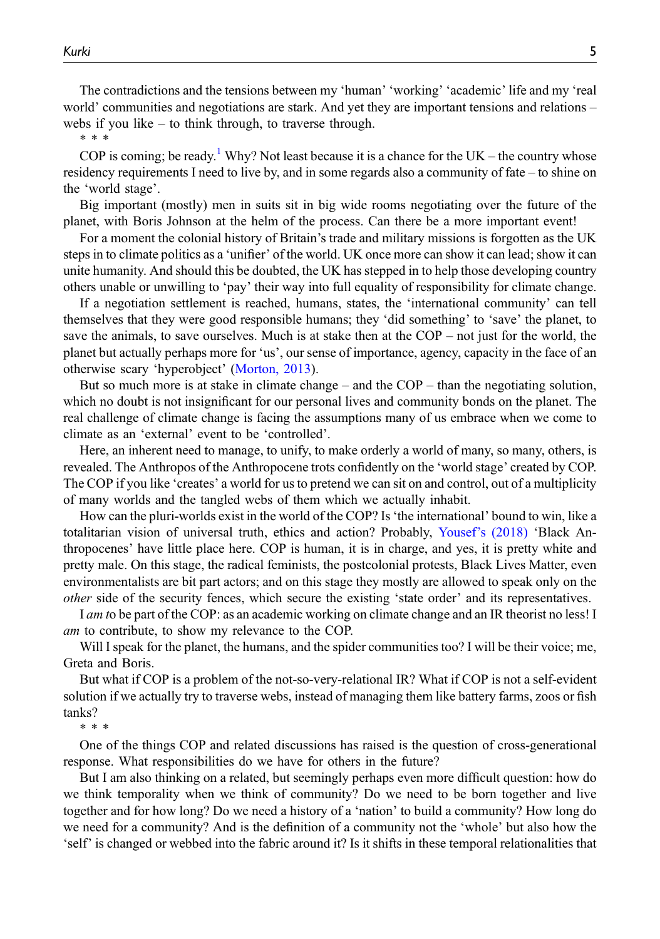The contradictions and the tensions between my 'human' 'working' 'academic' life and my 'real world' communities and negotiations are stark. And yet they are important tensions and relations – webs if you like – to think through, to traverse through.

\*\*\*

COP is coming; be ready.<sup>[1](#page-8-2)</sup> Why? Not least because it is a chance for the UK – the country whose residency requirements I need to live by, and in some regards also a community of fate – to shine on the 'world stage'.

Big important (mostly) men in suits sit in big wide rooms negotiating over the future of the planet, with Boris Johnson at the helm of the process. Can there be a more important event!

For a moment the colonial history of Britain's trade and military missions is forgotten as the UK steps in to climate politics as a 'unifier' of the world. UK once more can show it can lead; show it can unite humanity. And should this be doubted, the UK has stepped in to help those developing country others unable or unwilling to 'pay' their way into full equality of responsibility for climate change.

If a negotiation settlement is reached, humans, states, the 'international community' can tell themselves that they were good responsible humans; they 'did something' to 'save' the planet, to save the animals, to save ourselves. Much is at stake then at the  $COP - not$  just for the world, the planet but actually perhaps more for 'us', our sense of importance, agency, capacity in the face of an otherwise scary 'hyperobject' ([Morton, 2013](#page-9-3)).

But so much more is at stake in climate change – and the COP – than the negotiating solution, which no doubt is not insignificant for our personal lives and community bonds on the planet. The real challenge of climate change is facing the assumptions many of us embrace when we come to climate as an 'external' event to be 'controlled'.

Here, an inherent need to manage, to unify, to make orderly a world of many, so many, others, is revealed. The Anthropos of the Anthropocene trots confidently on the 'world stage' created by COP. The COP if you like 'creates' a world for us to pretend we can sit on and control, out of a multiplicity of many worlds and the tangled webs of them which we actually inhabit.

How can the pluri-worlds exist in the world of the COP? Is'the international' bound to win, like a totalitarian vision of universal truth, ethics and action? Probably, Yousef'[s \(2018\)](#page-9-4) 'Black Anthropocenes' have little place here. COP is human, it is in charge, and yes, it is pretty white and pretty male. On this stage, the radical feminists, the postcolonial protests, Black Lives Matter, even environmentalists are bit part actors; and on this stage they mostly are allowed to speak only on the other side of the security fences, which secure the existing 'state order' and its representatives.

I *am* to be part of the COP: as an academic working on climate change and an IR theorist no less! I am to contribute, to show my relevance to the COP.

Will I speak for the planet, the humans, and the spider communities too? I will be their voice; me, Greta and Boris.

But what if COP is a problem of the not-so-very-relational IR? What if COP is not a self-evident solution if we actually try to traverse webs, instead of managing them like battery farms, zoos or fish tanks?

\*\*\*

One of the things COP and related discussions has raised is the question of cross-generational response. What responsibilities do we have for others in the future?

But I am also thinking on a related, but seemingly perhaps even more difficult question: how do we think temporality when we think of community? Do we need to be born together and live together and for how long? Do we need a history of a 'nation' to build a community? How long do we need for a community? And is the definition of a community not the 'whole' but also how the 'self' is changed or webbed into the fabric around it? Is it shifts in these temporal relationalities that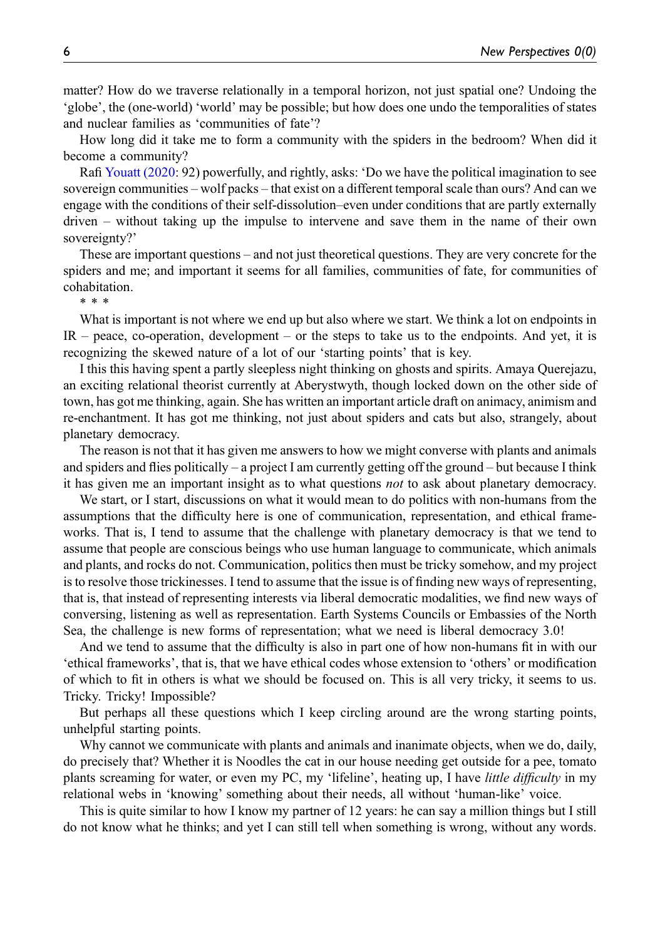matter? How do we traverse relationally in a temporal horizon, not just spatial one? Undoing the 'globe', the (one-world) 'world' may be possible; but how does one undo the temporalities of states and nuclear families as 'communities of fate'?

How long did it take me to form a community with the spiders in the bedroom? When did it become a community?

Rafi [Youatt \(2020:](#page-9-5) 92) powerfully, and rightly, asks: 'Do we have the political imagination to see sovereign communities – wolf packs – that exist on a different temporal scale than ours? And can we engage with the conditions of their self-dissolution–even under conditions that are partly externally driven – without taking up the impulse to intervene and save them in the name of their own sovereignty?'

These are important questions – and not just theoretical questions. They are very concrete for the spiders and me; and important it seems for all families, communities of fate, for communities of cohabitation.

\*\*\*

What is important is not where we end up but also where we start. We think a lot on endpoints in IR – peace, co-operation, development – or the steps to take us to the endpoints. And yet, it is recognizing the skewed nature of a lot of our 'starting points' that is key.

I this this having spent a partly sleepless night thinking on ghosts and spirits. Amaya Querejazu, an exciting relational theorist currently at Aberystwyth, though locked down on the other side of town, has got me thinking, again. She has written an important article draft on animacy, animism and re-enchantment. It has got me thinking, not just about spiders and cats but also, strangely, about planetary democracy.

The reason is not that it has given me answers to how we might converse with plants and animals and spiders and flies politically – a project I am currently getting off the ground – but because I think it has given me an important insight as to what questions not to ask about planetary democracy.

We start, or I start, discussions on what it would mean to do politics with non-humans from the assumptions that the difficulty here is one of communication, representation, and ethical frameworks. That is, I tend to assume that the challenge with planetary democracy is that we tend to assume that people are conscious beings who use human language to communicate, which animals and plants, and rocks do not. Communication, politics then must be tricky somehow, and my project is to resolve those trickinesses. I tend to assume that the issue is of finding new ways of representing, that is, that instead of representing interests via liberal democratic modalities, we find new ways of conversing, listening as well as representation. Earth Systems Councils or Embassies of the North Sea, the challenge is new forms of representation; what we need is liberal democracy 3.0!

And we tend to assume that the difficulty is also in part one of how non-humans fit in with our 'ethical frameworks', that is, that we have ethical codes whose extension to 'others' or modification of which to fit in others is what we should be focused on. This is all very tricky, it seems to us. Tricky. Tricky! Impossible?

But perhaps all these questions which I keep circling around are the wrong starting points, unhelpful starting points.

Why cannot we communicate with plants and animals and inanimate objects, when we do, daily, do precisely that? Whether it is Noodles the cat in our house needing get outside for a pee, tomato plants screaming for water, or even my PC, my 'lifeline', heating up, I have little difficulty in my relational webs in 'knowing' something about their needs, all without 'human-like' voice.

This is quite similar to how I know my partner of 12 years: he can say a million things but I still do not know what he thinks; and yet I can still tell when something is wrong, without any words.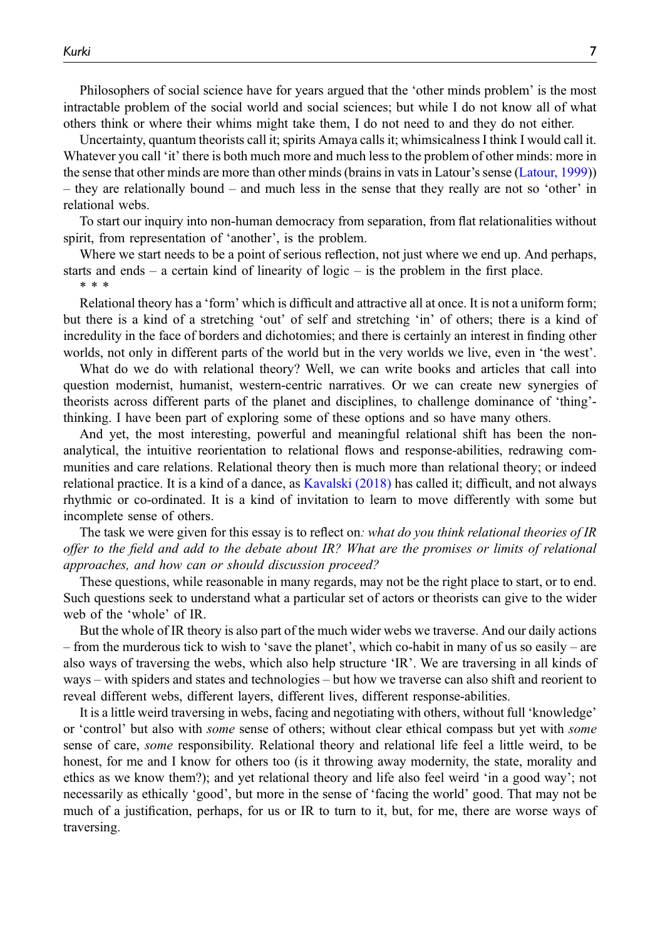Philosophers of social science have for years argued that the 'other minds problem' is the most intractable problem of the social world and social sciences; but while I do not know all of what others think or where their whims might take them, I do not need to and they do not either.

Uncertainty, quantum theorists call it; spirits Amaya calls it; whimsicalness I think I would call it. Whatever you call 'it' there is both much more and much less to the problem of other minds: more in the sense that other minds are more than other minds (brains in vats in Latour's sense ([Latour, 1999](#page-9-6))) – they are relationally bound – and much less in the sense that they really are not so 'other' in relational webs.

To start our inquiry into non-human democracy from separation, from flat relationalities without spirit, from representation of 'another', is the problem.

Where we start needs to be a point of serious reflection, not just where we end up. And perhaps, starts and ends – a certain kind of linearity of logic – is the problem in the first place. \*\*\*

Relational theory has a 'form' which is difficult and attractive all at once. It is not a uniform form; but there is a kind of a stretching 'out' of self and stretching 'in' of others; there is a kind of incredulity in the face of borders and dichotomies; and there is certainly an interest in finding other worlds, not only in different parts of the world but in the very worlds we live, even in 'the west'.

What do we do with relational theory? Well, we can write books and articles that call into question modernist, humanist, western-centric narratives. Or we can create new synergies of theorists across different parts of the planet and disciplines, to challenge dominance of 'thing' thinking. I have been part of exploring some of these options and so have many others.

And yet, the most interesting, powerful and meaningful relational shift has been the nonanalytical, the intuitive reorientation to relational flows and response-abilities, redrawing communities and care relations. Relational theory then is much more than relational theory; or indeed relational practice. It is a kind of a dance, as [Kavalski \(2018\)](#page-8-3) has called it; difficult, and not always rhythmic or co-ordinated. It is a kind of invitation to learn to move differently with some but incomplete sense of others.

The task we were given for this essay is to reflect on: what do you think relational theories of IR offer to the field and add to the debate about IR? What are the promises or limits of relational approaches, and how can or should discussion proceed?

These questions, while reasonable in many regards, may not be the right place to start, or to end. Such questions seek to understand what a particular set of actors or theorists can give to the wider web of the 'whole' of IR.

But the whole of IR theory is also part of the much wider webs we traverse. And our daily actions – from the murderous tick to wish to 'save the planet', which co-habit in many of us so easily – are also ways of traversing the webs, which also help structure 'IR'. We are traversing in all kinds of ways – with spiders and states and technologies – but how we traverse can also shift and reorient to reveal different webs, different layers, different lives, different response-abilities.

It is a little weird traversing in webs, facing and negotiating with others, without full 'knowledge' or 'control' but also with some sense of others; without clear ethical compass but yet with some sense of care, some responsibility. Relational theory and relational life feel a little weird, to be honest, for me and I know for others too (is it throwing away modernity, the state, morality and ethics as we know them?); and yet relational theory and life also feel weird 'in a good way'; not necessarily as ethically 'good', but more in the sense of 'facing the world' good. That may not be much of a justification, perhaps, for us or IR to turn to it, but, for me, there are worse ways of traversing.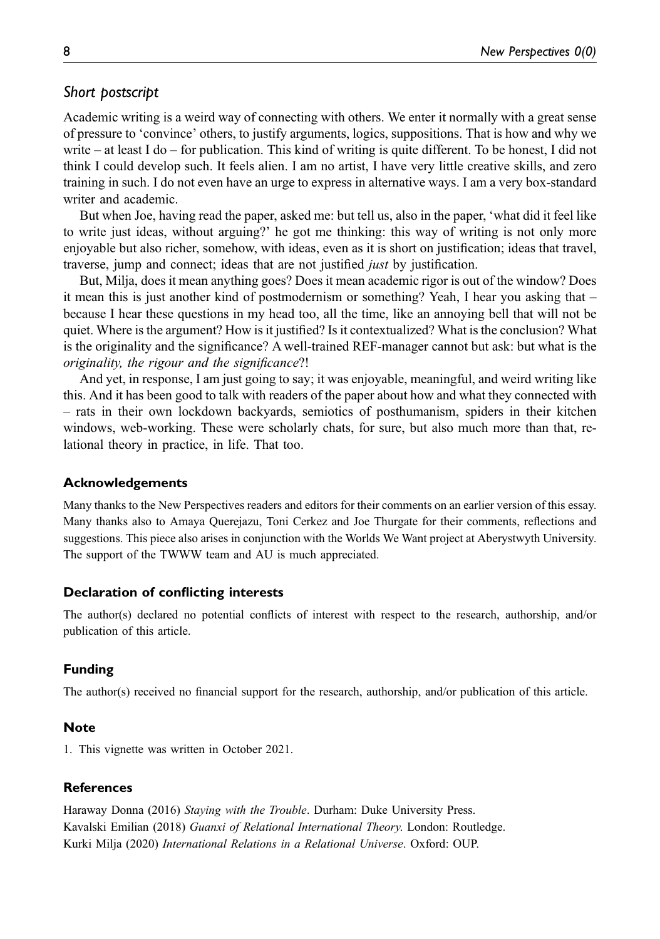# Short postscript postscript postscript postscript postscript postscript postscript postscript postscript posts<br>Short postscript postscript postscript postscript postscript postscript postscript postscript postscript posts

Academic writing is a weird way of connecting with others. We enter it normally with a great sense of pressure to 'convince' others, to justify arguments, logics, suppositions. That is how and why we write – at least I do – for publication. This kind of writing is quite different. To be honest, I did not think I could develop such. It feels alien. I am no artist, I have very little creative skills, and zero training in such. I do not even have an urge to express in alternative ways. I am a very box-standard writer and academic.

But when Joe, having read the paper, asked me: but tell us, also in the paper, 'what did it feel like to write just ideas, without arguing?' he got me thinking: this way of writing is not only more enjoyable but also richer, somehow, with ideas, even as it is short on justification; ideas that travel, traverse, jump and connect; ideas that are not justified just by justification.

But, Milja, does it mean anything goes? Does it mean academic rigor is out of the window? Does it mean this is just another kind of postmodernism or something? Yeah, I hear you asking that – because I hear these questions in my head too, all the time, like an annoying bell that will not be quiet. Where is the argument? How is it justified? Is it contextualized? What is the conclusion? What is the originality and the significance? A well-trained REF-manager cannot but ask: but what is the originality, the rigour and the significance?!

And yet, in response, I am just going to say; it was enjoyable, meaningful, and weird writing like this. And it has been good to talk with readers of the paper about how and what they connected with – rats in their own lockdown backyards, semiotics of posthumanism, spiders in their kitchen windows, web-working. These were scholarly chats, for sure, but also much more than that, relational theory in practice, in life. That too.

### Acknowledgements

Many thanks to the New Perspectives readers and editors for their comments on an earlier version of this essay. Many thanks also to Amaya Querejazu, Toni Cerkez and Joe Thurgate for their comments, reflections and suggestions. This piece also arises in conjunction with the Worlds We Want project at Aberystwyth University. The support of the TWWW team and AU is much appreciated.

### Declaration of conflicting interests

The author(s) declared no potential conflicts of interest with respect to the research, authorship, and/or publication of this article.

### Funding

The author(s) received no financial support for the research, authorship, and/or publication of this article.

### <span id="page-8-2"></span>**Note**

1. This vignette was written in October 2021.

### <span id="page-8-3"></span><span id="page-8-1"></span>References

<span id="page-8-0"></span>Haraway Donna (2016) Staying with the Trouble. Durham: Duke University Press. Kavalski Emilian (2018) Guanxi of Relational International Theory. London: Routledge. Kurki Milja (2020) International Relations in a Relational Universe. Oxford: OUP.